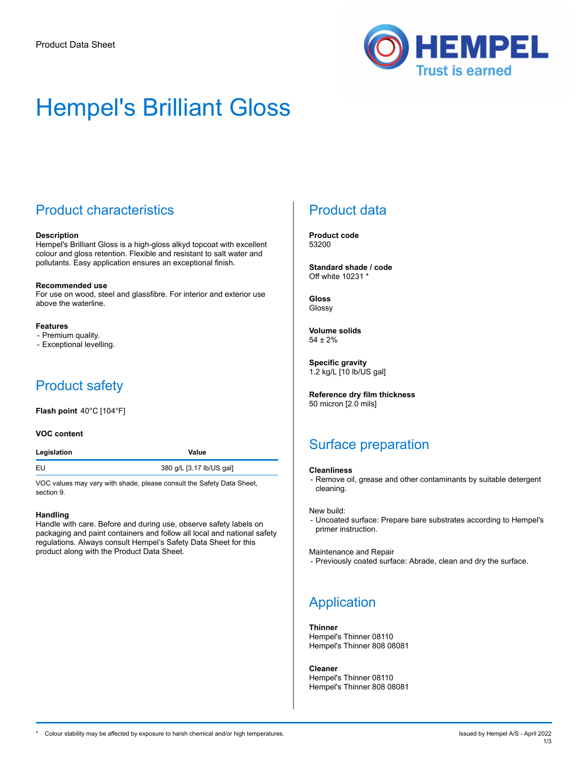

# Hempel's Brilliant Gloss

## Product characteristics

#### **Description**

Hempel's Brilliant Gloss is a high-gloss alkyd topcoat with excellent colour and gloss retention. Flexible and resistant to salt water and pollutants. Easy application ensures an exceptional finish.

#### **Recommended use**

For use on wood, steel and glassfibre. For interior and exterior use above the waterline.

#### **Features**

- Premium quality.
- Exceptional levelling.

## Product safety

**Flash point** 40°C [104°F]

#### **VOC content**

| Legislation | Value                    |
|-------------|--------------------------|
| EU          | 380 g/L [3.17 lb/US gal] |

VOC values may vary with shade, please consult the Safety Data Sheet, section 9.

#### **Handling**

Handle with care. Before and during use, observe safety labels on packaging and paint containers and follow all local and national safety regulations. Always consult Hempel's Safety Data Sheet for this product along with the Product Data Sheet.

## Product data

**Product code** 53200

**Standard shade / code** Off white 10231 \*

**Gloss** Glossy

**Volume solids** 54 ± 2%

**Specific gravity** 1.2 kg/L [10 lb/US gal]

**Reference dry film thickness** 50 micron [2.0 mils]

## Surface preparation

#### **Cleanliness**

- Remove oil, grease and other contaminants by suitable detergent cleaning.

New build:

- Uncoated surface: Prepare bare substrates according to Hempel's primer instruction.

Maintenance and Repair

- Previously coated surface: Abrade, clean and dry the surface.

## Application

#### **Thinner**

Hempel's Thinner 08110 Hempel's Thinner 808 08081

**Cleaner**

Hempel's Thinner 08110 Hempel's Thinner 808 08081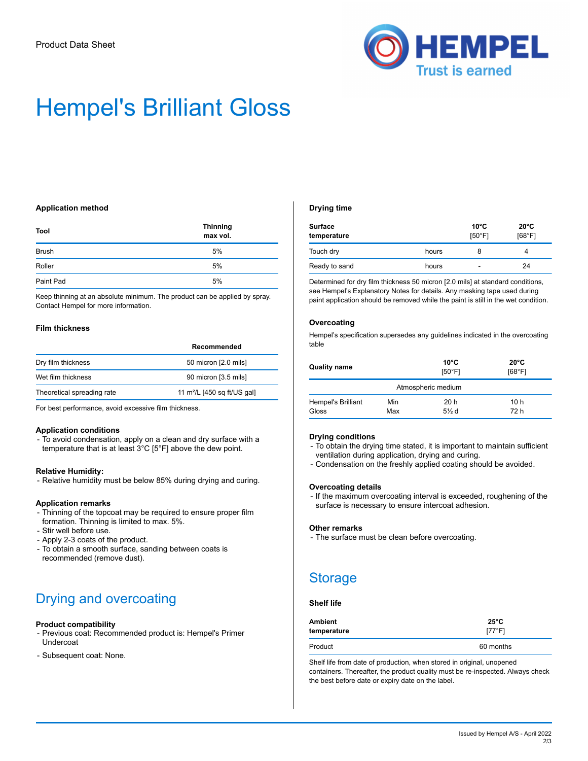

# Hempel's Brilliant Gloss

#### **Application method**

| Tool         | <b>Thinning</b><br>max vol. |
|--------------|-----------------------------|
| <b>Brush</b> | 5%                          |
| Roller       | 5%                          |
| Paint Pad    | 5%                          |

Keep thinning at an absolute minimum. The product can be applied by spray. Contact Hempel for more information.

#### **Film thickness**

|                            | Recommended                   |
|----------------------------|-------------------------------|
| Dry film thickness         | 50 micron [2.0 mils]          |
| Wet film thickness         | 90 micron [3.5 mils]          |
| Theoretical spreading rate | 11 $m^2/L$ [450 sq ft/US gal] |

For best performance, avoid excessive film thickness.

#### **Application conditions**

- To avoid condensation, apply on a clean and dry surface with a temperature that is at least 3°C [5°F] above the dew point.

#### **Relative Humidity:**

- Relative humidity must be below 85% during drying and curing.

#### **Application remarks**

- Thinning of the topcoat may be required to ensure proper film formation. Thinning is limited to max. 5%.
- Stir well before use.
- Apply 2-3 coats of the product.
- To obtain a smooth surface, sanding between coats is recommended (remove dust).

## Drying and overcoating

#### **Product compatibility**

- Previous coat: Recommended product is: Hempel's Primer Undercoat
- Subsequent coat: None.

#### **Drying time**

| <b>Surface</b><br>temperature |       | $10^{\circ}$ C<br>[50°F] | $20^{\circ}$ C<br>[68°F] |
|-------------------------------|-------|--------------------------|--------------------------|
| Touch dry                     | hours | 8                        |                          |
| Ready to sand                 | hours | -                        | 24                       |

Determined for dry film thickness 50 micron [2.0 mils] at standard conditions, see Hempel's Explanatory Notes for details. Any masking tape used during paint application should be removed while the paint is still in the wet condition.

#### **Overcoating**

Hempel's specification supersedes any guidelines indicated in the overcoating table

| <b>Quality name</b>                |            | $10^{\circ}$ C<br>[50°F] | $20^{\circ}$ C<br>[68°F] |
|------------------------------------|------------|--------------------------|--------------------------|
| Atmospheric medium                 |            |                          |                          |
| <b>Hempel's Brilliant</b><br>Gloss | Min<br>Max | 20h<br>$5\%$ d           | 10 h<br>72 h             |

#### **Drying conditions**

- To obtain the drying time stated, it is important to maintain sufficient ventilation during application, drying and curing.
- Condensation on the freshly applied coating should be avoided.

#### **Overcoating details**

- If the maximum overcoating interval is exceeded, roughening of the surface is necessary to ensure intercoat adhesion.

#### **Other remarks**

- The surface must be clean before overcoating.

### Storage

#### **Shelf life**

| <b>Ambient</b> | $25^{\circ}$ C |
|----------------|----------------|
| temperature    | [77°F]         |
| Product        | 60 months      |

Shelf life from date of production, when stored in original, unopened containers. Thereafter, the product quality must be re-inspected. Always check the best before date or expiry date on the label.